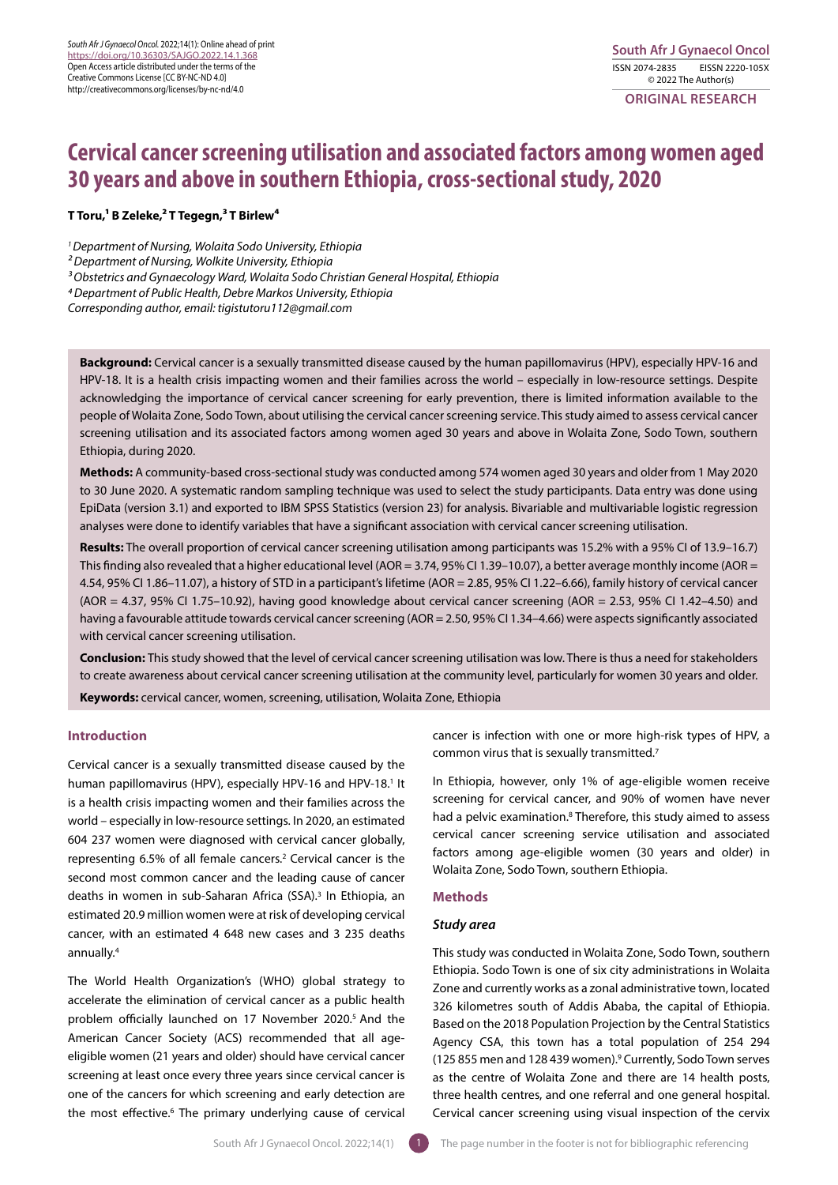**ORIGINAL RESEARCH** 

# **Cervical cancer screening utilisation and associated factors among women aged 30 years and above in southern Ethiopia, cross-sectional study, 2020**

# **T Toru,1 B Zeleke,2 T Tegegn,3 T Birlew4**

*1 Department of Nursing, Wolaita Sodo University, Ethiopia*

*2 Department of Nursing, Wolkite University, Ethiopia*

*3 Obstetrics and Gynaecology Ward, Wolaita Sodo Christian General Hospital, Ethiopia*

*4 Department of Public Health, Debre Markos University, Ethiopia*

*Corresponding author, email: tigistutoru112@gmail.com*

**Background:** Cervical cancer is a sexually transmitted disease caused by the human papillomavirus (HPV), especially HPV-16 and HPV-18. It is a health crisis impacting women and their families across the world – especially in low-resource settings. Despite acknowledging the importance of cervical cancer screening for early prevention, there is limited information available to the people of Wolaita Zone, Sodo Town, about utilising the cervical cancer screening service. This study aimed to assess cervical cancer screening utilisation and its associated factors among women aged 30 years and above in Wolaita Zone, Sodo Town, southern Ethiopia, during 2020.

**Methods:** A community-based cross-sectional study was conducted among 574 women aged 30 years and older from 1 May 2020 to 30 June 2020. A systematic random sampling technique was used to select the study participants. Data entry was done using EpiData (version 3.1) and exported to IBM SPSS Statistics (version 23) for analysis. Bivariable and multivariable logistic regression analyses were done to identify variables that have a significant association with cervical cancer screening utilisation.

**Results:** The overall proportion of cervical cancer screening utilisation among participants was 15.2% with a 95% CI of 13.9–16.7) This finding also revealed that a higher educational level (AOR = 3.74, 95% CI 1.39-10.07), a better average monthly income (AOR = 4.54, 95% CI 1.86–11.07), a history of STD in a participant's lifetime (AOR = 2.85, 95% CI 1.22–6.66), family history of cervical cancer (AOR = 4.37, 95% CI 1.75–10.92), having good knowledge about cervical cancer screening (AOR = 2.53, 95% CI 1.42–4.50) and having a favourable attitude towards cervical cancer screening (AOR = 2.50, 95% CI 1.34–4.66) were aspects significantly associated with cervical cancer screening utilisation.

**Conclusion:** This study showed that the level of cervical cancer screening utilisation was low. There is thus a need for stakeholders to create awareness about cervical cancer screening utilisation at the community level, particularly for women 30 years and older. **Keywords:** cervical cancer, women, screening, utilisation, Wolaita Zone, Ethiopia

# **Introduction**

Cervical cancer is a sexually transmitted disease caused by the human papillomavirus (HPV), especially HPV-16 and HPV-18.<sup>1</sup> It is a health crisis impacting women and their families across the world – especially in low-resource settings. In 2020, an estimated 604 237 women were diagnosed with cervical cancer globally, representing 6.5% of all female cancers.2 Cervical cancer is the second most common cancer and the leading cause of cancer deaths in women in sub-Saharan Africa (SSA).<sup>3</sup> In Ethiopia, an estimated 20.9 million women were at risk of developing cervical cancer, with an estimated 4 648 new cases and 3 235 deaths annually.4

The World Health Organization's (WHO) global strategy to accelerate the elimination of cervical cancer as a public health problem officially launched on 17 November 2020.5 And the American Cancer Society (ACS) recommended that all ageeligible women (21 years and older) should have cervical cancer screening at least once every three years since cervical cancer is one of the cancers for which screening and early detection are the most effective.<sup>6</sup> The primary underlying cause of cervical

cancer is infection with one or more high-risk types of HPV, a common virus that is sexually transmitted.7

In Ethiopia, however, only 1% of age-eligible women receive screening for cervical cancer, and 90% of women have never had a pelvic examination.<sup>8</sup> Therefore, this study aimed to assess cervical cancer screening service utilisation and associated factors among age-eligible women (30 years and older) in Wolaita Zone, Sodo Town, southern Ethiopia.

#### **Methods**

## *Study area*

This study was conducted in Wolaita Zone, Sodo Town, southern Ethiopia. Sodo Town is one of six city administrations in Wolaita Zone and currently works as a zonal administrative town, located 326 kilometres south of Addis Ababa, the capital of Ethiopia. Based on the 2018 Population Projection by the Central Statistics Agency CSA, this town has a total population of 254 294 (125 855 men and 128 439 women).9 Currently, Sodo Town serves as the centre of Wolaita Zone and there are 14 health posts, three health centres, and one referral and one general hospital. Cervical cancer screening using visual inspection of the cervix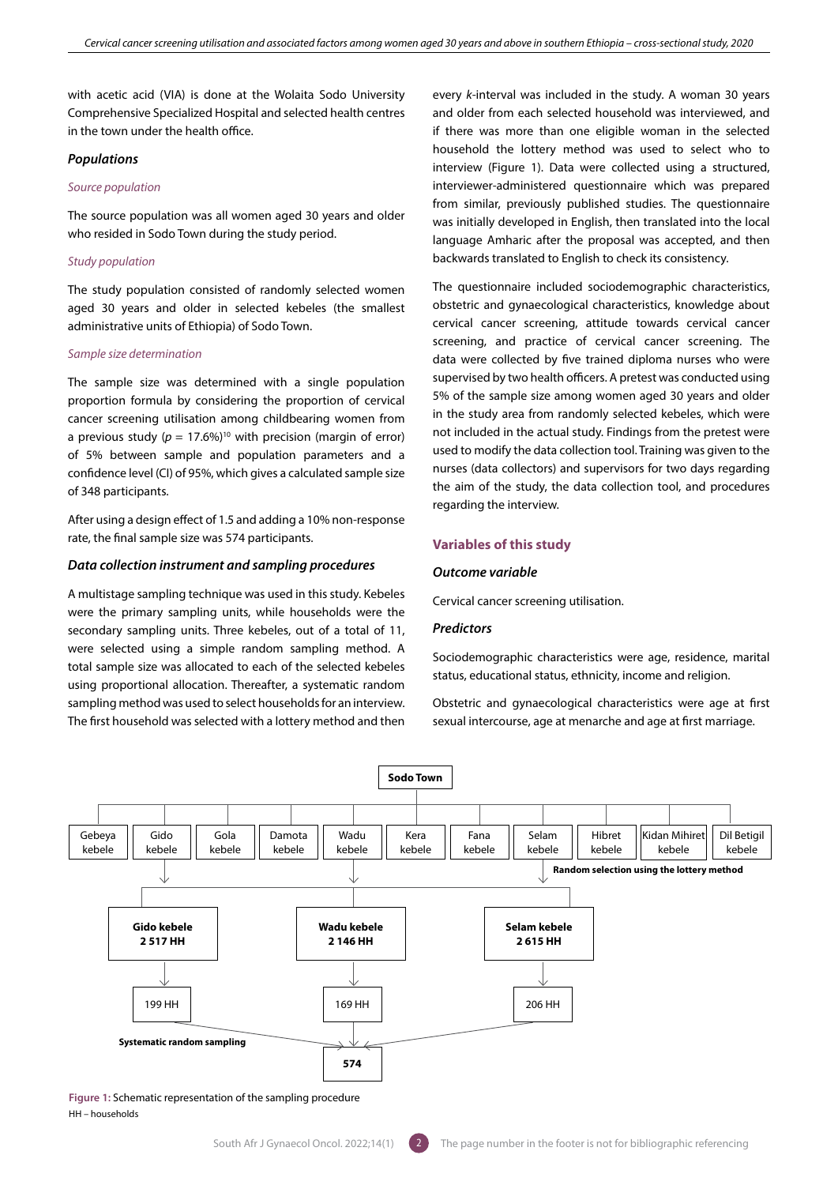with acetic acid (VIA) is done at the Wolaita Sodo University Comprehensive Specialized Hospital and selected health centres in the town under the health office.

#### *Populations*

#### *Source population*

The source population was all women aged 30 years and older who resided in Sodo Town during the study period.

# *Study population*

The study population consisted of randomly selected women aged 30 years and older in selected kebeles (the smallest administrative units of Ethiopia) of Sodo Town.

#### *Sample size determination*

The sample size was determined with a single population proportion formula by considering the proportion of cervical cancer screening utilisation among childbearing women from a previous study  $(p = 17.6\%)^{10}$  with precision (margin of error) of 5% between sample and population parameters and a confidence level (CI) of 95%, which gives a calculated sample size of 348 participants.

After using a design effect of 1.5 and adding a 10% non-response rate, the final sample size was 574 participants.

#### *Data collection instrument and sampling procedures*

A multistage sampling technique was used in this study. Kebeles were the primary sampling units, while households were the secondary sampling units. Three kebeles, out of a total of 11, were selected using a simple random sampling method. A total sample size was allocated to each of the selected kebeles using proportional allocation. Thereafter, a systematic random sampling method was used to select households for an interview. The first household was selected with a lottery method and then

every *k*-interval was included in the study. A woman 30 years and older from each selected household was interviewed, and if there was more than one eligible woman in the selected household the lottery method was used to select who to interview (Figure 1). Data were collected using a structured, interviewer-administered questionnaire which was prepared from similar, previously published studies. The questionnaire was initially developed in English, then translated into the local language Amharic after the proposal was accepted, and then backwards translated to English to check its consistency.

The questionnaire included sociodemographic characteristics, obstetric and gynaecological characteristics, knowledge about cervical cancer screening, attitude towards cervical cancer screening, and practice of cervical cancer screening. The data were collected by five trained diploma nurses who were supervised by two health officers. A pretest was conducted using 5% of the sample size among women aged 30 years and older in the study area from randomly selected kebeles, which were not included in the actual study. Findings from the pretest were used to modify the data collection tool. Training was given to the nurses (data collectors) and supervisors for two days regarding the aim of the study, the data collection tool, and procedures regarding the interview.

## **Variables of this study**

#### *Outcome variable*

Cervical cancer screening utilisation.

# *Predictors*

Sociodemographic characteristics were age, residence, marital status, educational status, ethnicity, income and religion.

Obstetric and gynaecological characteristics were age at first sexual intercourse, age at menarche and age at first marriage.



**Figure 1:** Schematic representation of the sampling procedure HH – households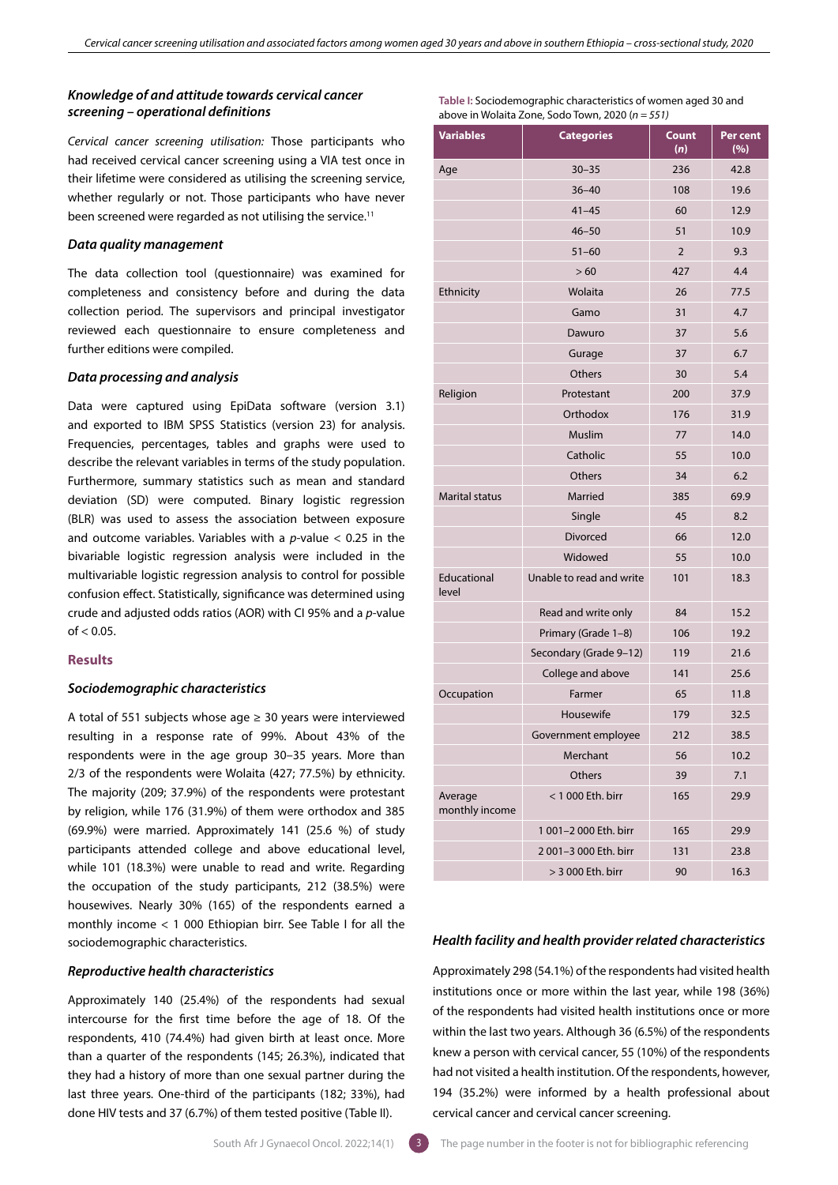# *Knowledge of and attitude towards cervical cancer screening – operational definitions*

*Cervical cancer screening utilisation:* Those participants who had received cervical cancer screening using a VIA test once in their lifetime were considered as utilising the screening service, whether regularly or not. Those participants who have never been screened were regarded as not utilising the service.<sup>11</sup>

## *Data quality management*

The data collection tool (questionnaire) was examined for completeness and consistency before and during the data collection period. The supervisors and principal investigator reviewed each questionnaire to ensure completeness and further editions were compiled.

## *Data processing and analysis*

Data were captured using EpiData software (version 3.1) and exported to IBM SPSS Statistics (version 23) for analysis. Frequencies, percentages, tables and graphs were used to describe the relevant variables in terms of the study population. Furthermore, summary statistics such as mean and standard deviation (SD) were computed. Binary logistic regression (BLR) was used to assess the association between exposure and outcome variables. Variables with a *p*-value < 0.25 in the bivariable logistic regression analysis were included in the multivariable logistic regression analysis to control for possible confusion effect. Statistically, significance was determined using crude and adjusted odds ratios (AOR) with CI 95% and a *p*-value  $of < 0.05$ .

# **Results**

#### *Sociodemographic characteristics*

A total of 551 subjects whose age  $\geq$  30 years were interviewed resulting in a response rate of 99%. About 43% of the respondents were in the age group 30–35 years. More than 2/3 of the respondents were Wolaita (427; 77.5%) by ethnicity. The majority (209; 37.9%) of the respondents were protestant by religion, while 176 (31.9%) of them were orthodox and 385 (69.9%) were married. Approximately 141 (25.6 %) of study participants attended college and above educational level, while 101 (18.3%) were unable to read and write. Regarding the occupation of the study participants, 212 (38.5%) were housewives. Nearly 30% (165) of the respondents earned a monthly income < 1 000 Ethiopian birr. See Table I for all the sociodemographic characteristics.

# *Reproductive health characteristics*

Approximately 140 (25.4%) of the respondents had sexual intercourse for the first time before the age of 18. Of the respondents, 410 (74.4%) had given birth at least once. More than a quarter of the respondents (145; 26.3%), indicated that they had a history of more than one sexual partner during the last three years. One-third of the participants (182; 33%), had done HIV tests and 37 (6.7%) of them tested positive (Table II).

| <b>Variables</b>          | <b>Categories</b>        | <b>Count</b><br>(n) | Per cent<br>(%) |  |
|---------------------------|--------------------------|---------------------|-----------------|--|
| Age                       | $30 - 35$                | 236                 | 42.8            |  |
|                           | $36 - 40$                | 108                 | 19.6            |  |
|                           | $41 - 45$                | 60                  | 12.9            |  |
|                           | $46 - 50$                | 51                  | 10.9            |  |
|                           | $51 - 60$                | $\overline{2}$      | 9.3             |  |
|                           | >60                      | 427                 | 4.4             |  |
| Ethnicity                 | Wolaita                  | 26                  | 77.5            |  |
|                           | Gamo                     | 31                  | 4.7             |  |
|                           | Dawuro                   | 37                  | 5.6             |  |
|                           | Gurage                   | 37                  | 6.7             |  |
|                           | Others                   | 30                  | 5.4             |  |
| Religion                  | Protestant               | 200                 | 37.9            |  |
|                           | Orthodox                 | 176                 | 31.9            |  |
|                           | Muslim                   | 77                  | 14.0            |  |
|                           | Catholic                 | 55                  | 10.0            |  |
|                           | Others                   | 34                  | 6.2             |  |
| <b>Marital status</b>     | Married                  | 385                 | 69.9            |  |
|                           | Single                   | 45                  | 8.2             |  |
|                           | Divorced                 | 66                  | 12.0            |  |
|                           | Widowed                  | 55                  | 10.0            |  |
| Educational<br>level      | Unable to read and write | 101                 | 18.3            |  |
|                           | Read and write only      | 84                  | 15.2            |  |
|                           | Primary (Grade 1-8)      | 106                 | 19.2            |  |
|                           | Secondary (Grade 9-12)   | 119                 | 21.6            |  |
|                           | College and above        | 141                 | 25.6            |  |
| Occupation                | Farmer                   | 65                  | 11.8            |  |
|                           | Housewife                | 179                 | 32.5            |  |
|                           | Government employee      | 212                 | 38.5            |  |
|                           | Merchant                 | 56                  | 10.2            |  |
|                           | Others                   | 39                  | 7.1             |  |
| Average<br>monthly income | < 1 000 Eth. birr        | 165                 | 29.9            |  |
|                           | 1 001-2 000 Eth. birr    | 165                 | 29.9            |  |
|                           | 2 001-3 000 Eth. birr    | 131                 | 23.8            |  |
|                           | > 3 000 Eth. birr        | 90                  | 16.3            |  |

**Table I:** Sociodemographic characteristics of women aged 30 and

above in Wolaita Zone, Sodo Town, 2020 (*n = 551)*

# *Health facility and health provider related characteristics*

Approximately 298 (54.1%) of the respondents had visited health institutions once or more within the last year, while 198 (36%) of the respondents had visited health institutions once or more within the last two years. Although 36 (6.5%) of the respondents knew a person with cervical cancer, 55 (10%) of the respondents had not visited a health institution. Of the respondents, however, 194 (35.2%) were informed by a health professional about cervical cancer and cervical cancer screening.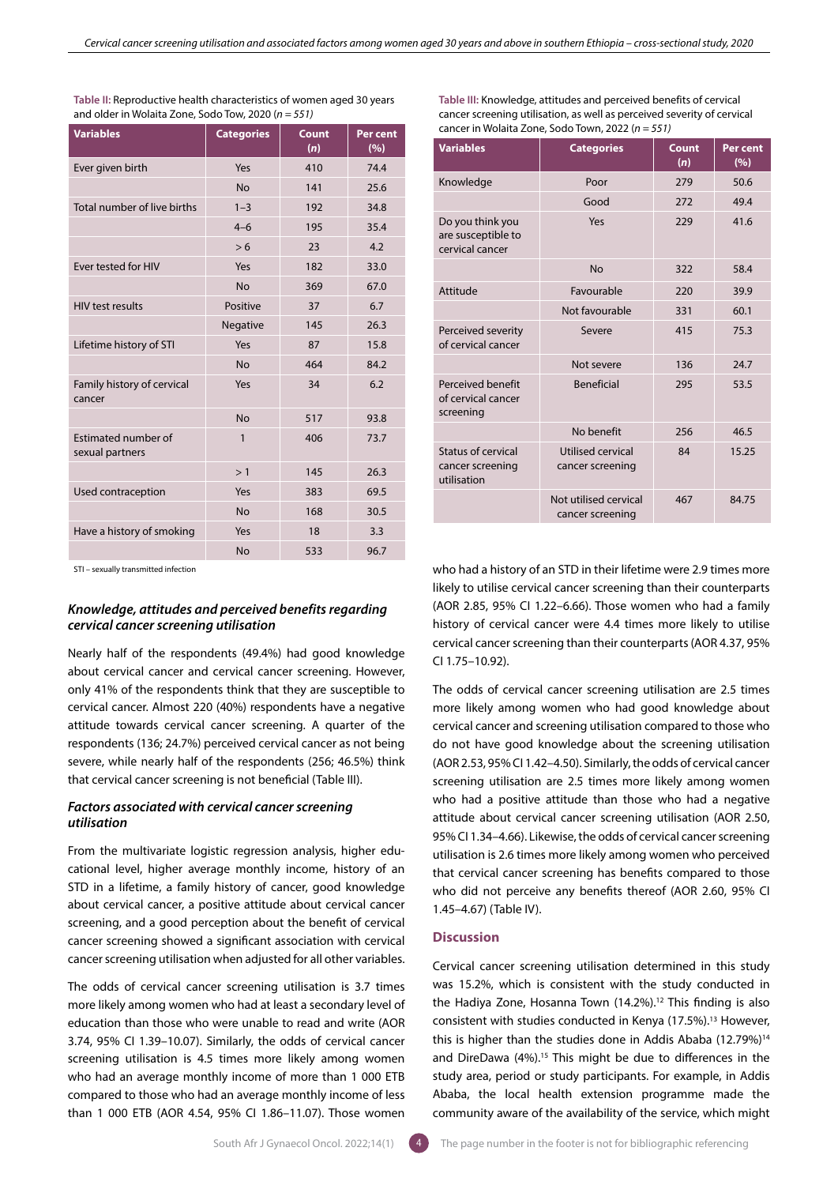| <b>Variables</b>                       | <b>Categories</b> | <b>Count</b><br>(n) | Per cent<br>(%) |
|----------------------------------------|-------------------|---------------------|-----------------|
| Ever given birth                       | Yes               | 410                 | 74.4            |
|                                        | <b>No</b>         | 141                 | 25.6            |
| Total number of live births            | $1 - 3$           | 192                 | 34.8            |
|                                        | $4 - 6$           | 195                 | 35.4            |
|                                        | > 6               | 23                  | 4.2             |
| Ever tested for HIV                    | Yes               | 182                 | 33.0            |
|                                        | <b>No</b>         | 369                 | 67.0            |
| <b>HIV test results</b>                | Positive          | 37                  | 6.7             |
|                                        | Negative          | 145                 | 26.3            |
| Lifetime history of STI                | Yes               | 87                  | 15.8            |
|                                        | <b>No</b>         | 464                 | 84.2            |
| Family history of cervical<br>cancer   | Yes               | 34                  | 6.2             |
|                                        | <b>No</b>         | 517                 | 93.8            |
| Estimated number of<br>sexual partners | $\mathbf{1}$      | 406                 | 73.7            |
|                                        | >1                | 145                 | 26.3            |
| Used contraception                     | Yes               | 383                 | 69.5            |
|                                        | <b>No</b>         | 168                 | 30.5            |
| Have a history of smoking              | Yes               | 18                  | 3.3             |
|                                        | <b>No</b>         | 533                 | 96.7            |

**Table II:** Reproductive health characteristics of women aged 30 years and older in Wolaita Zone, Sodo Tow, 2020 (*n = 551)*

STI – sexually transmitted infection

# *Knowledge, attitudes and perceived benefits regarding cervical cancer screening utilisation*

Nearly half of the respondents (49.4%) had good knowledge about cervical cancer and cervical cancer screening. However, only 41% of the respondents think that they are susceptible to cervical cancer. Almost 220 (40%) respondents have a negative attitude towards cervical cancer screening. A quarter of the respondents (136; 24.7%) perceived cervical cancer as not being severe, while nearly half of the respondents (256; 46.5%) think that cervical cancer screening is not beneficial (Table III).

# *Factors associated with cervical cancer screening utilisation*

From the multivariate logistic regression analysis, higher educational level, higher average monthly income, history of an STD in a lifetime, a family history of cancer, good knowledge about cervical cancer, a positive attitude about cervical cancer screening, and a good perception about the benefit of cervical cancer screening showed a significant association with cervical cancer screening utilisation when adjusted for all other variables.

The odds of cervical cancer screening utilisation is 3.7 times more likely among women who had at least a secondary level of education than those who were unable to read and write (AOR 3.74, 95% CI 1.39–10.07). Similarly, the odds of cervical cancer screening utilisation is 4.5 times more likely among women who had an average monthly income of more than 1 000 ETB compared to those who had an average monthly income of less than 1 000 ETB (AOR 4.54, 95% CI 1.86–11.07). Those women

**Table III:** Knowledge, attitudes and perceived benefits of cervical cancer screening utilisation, as well as perceived severity of cervical cancer in Wolaita Zone, Sodo Town, 2022 (*n = 551)*

| <b>Variables</b>                                          | <b>Categories</b>                         | Count<br>(n) | <b>Per cent</b><br>(%) |
|-----------------------------------------------------------|-------------------------------------------|--------------|------------------------|
| Knowledge                                                 | Poor                                      | 279          | 50.6                   |
|                                                           | Good                                      | 272          | 49.4                   |
| Do you think you<br>are susceptible to<br>cervical cancer | Yes                                       | 229          | 41.6                   |
|                                                           | <b>No</b>                                 | 322          | 58.4                   |
| Attitude                                                  | Favourable                                | 220          | 39.9                   |
|                                                           | Not favourable                            | 331          | 60.1                   |
| Perceived severity<br>of cervical cancer                  | Severe                                    | 415          | 75.3                   |
|                                                           | Not severe                                | 136          | 24.7                   |
| Perceived benefit<br>of cervical cancer<br>screening      | <b>Beneficial</b>                         | 295          | 53.5                   |
|                                                           | No benefit                                | 256          | 46.5                   |
| Status of cervical<br>cancer screening<br>utilisation     | Utilised cervical<br>cancer screening     | 84           | 15.25                  |
|                                                           | Not utilised cervical<br>cancer screening | 467          | 84.75                  |

who had a history of an STD in their lifetime were 2.9 times more likely to utilise cervical cancer screening than their counterparts (AOR 2.85, 95% CI 1.22–6.66). Those women who had a family history of cervical cancer were 4.4 times more likely to utilise cervical cancer screening than their counterparts (AOR 4.37, 95% CI 1.75–10.92).

The odds of cervical cancer screening utilisation are 2.5 times more likely among women who had good knowledge about cervical cancer and screening utilisation compared to those who do not have good knowledge about the screening utilisation (AOR 2.53, 95% CI 1.42–4.50). Similarly, the odds of cervical cancer screening utilisation are 2.5 times more likely among women who had a positive attitude than those who had a negative attitude about cervical cancer screening utilisation (AOR 2.50, 95% CI 1.34–4.66). Likewise, the odds of cervical cancer screening utilisation is 2.6 times more likely among women who perceived that cervical cancer screening has benefits compared to those who did not perceive any benefits thereof (AOR 2.60, 95% CI 1.45–4.67) (Table IV).

#### **Discussion**

Cervical cancer screening utilisation determined in this study was 15.2%, which is consistent with the study conducted in the Hadiya Zone, Hosanna Town (14.2%).<sup>12</sup> This finding is also consistent with studies conducted in Kenya (17.5%).<sup>13</sup> However, this is higher than the studies done in Addis Ababa (12.79%)<sup>14</sup> and DireDawa (4%).<sup>15</sup> This might be due to differences in the study area, period or study participants. For example, in Addis Ababa, the local health extension programme made the community aware of the availability of the service, which might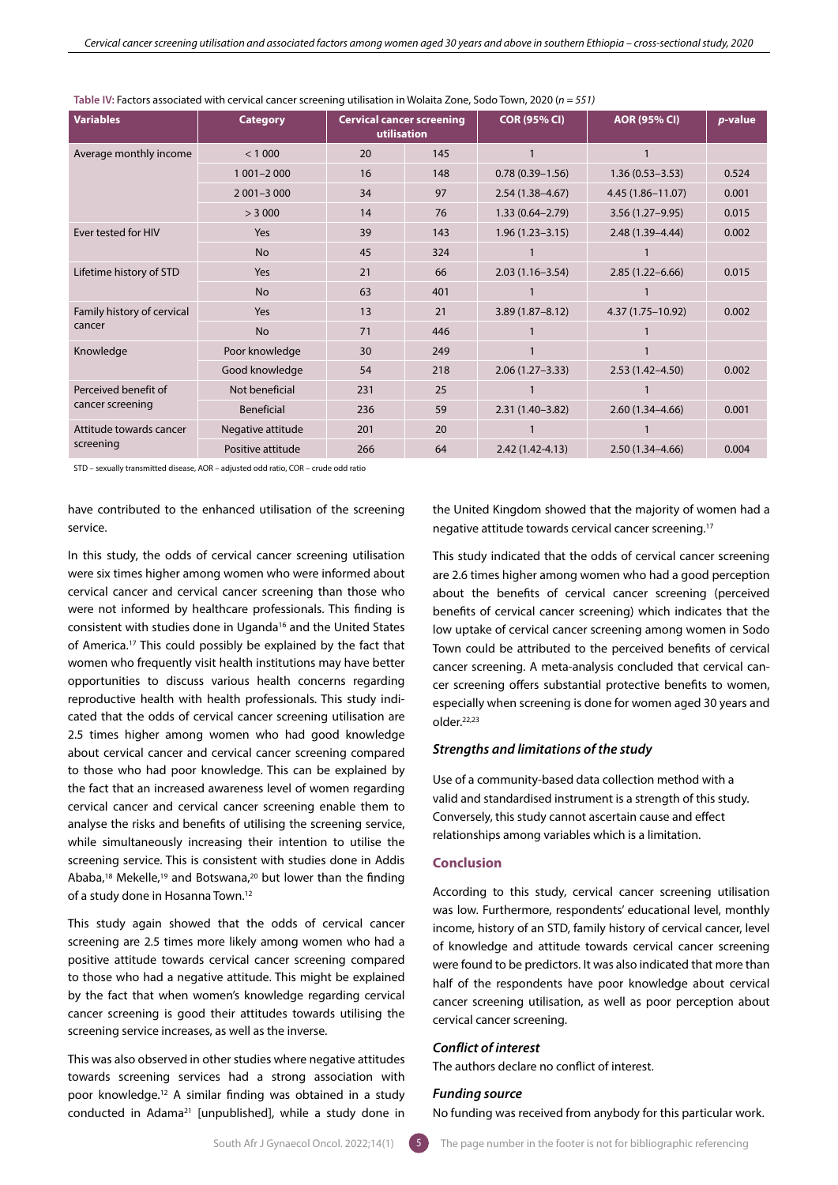| <b>Variables</b>                         | <b>Category</b>   | <b>Cervical cancer screening</b><br>utilisation |     | <b>COR (95% CI)</b> | <b>AOR (95% CI)</b> | p-value |
|------------------------------------------|-------------------|-------------------------------------------------|-----|---------------------|---------------------|---------|
| Average monthly income                   | < 1000            | 20                                              | 145 |                     |                     |         |
|                                          | $1001 - 2000$     | 16                                              | 148 | $0.78(0.39 - 1.56)$ | $1.36(0.53 - 3.53)$ | 0.524   |
|                                          | $2001 - 3000$     | 34                                              | 97  | $2.54(1.38 - 4.67)$ | 4.45 (1.86-11.07)   | 0.001   |
|                                          | > 3000            | 14                                              | 76  | $1.33(0.64 - 2.79)$ | $3.56(1.27 - 9.95)$ | 0.015   |
| Ever tested for HIV                      | Yes               | 39                                              | 143 | $1.96(1.23 - 3.15)$ | $2.48(1.39 - 4.44)$ | 0.002   |
|                                          | <b>No</b>         | 45                                              | 324 |                     |                     |         |
| Lifetime history of STD                  | Yes               | 21                                              | 66  | $2.03(1.16 - 3.54)$ | $2.85(1.22 - 6.66)$ | 0.015   |
|                                          | <b>No</b>         | 63                                              | 401 |                     |                     |         |
| Family history of cervical<br>cancer     | Yes               | 13                                              | 21  | $3.89(1.87 - 8.12)$ | 4.37 (1.75-10.92)   | 0.002   |
|                                          | <b>No</b>         | 71                                              | 446 |                     |                     |         |
| Knowledge                                | Poor knowledge    | 30                                              | 249 |                     |                     |         |
|                                          | Good knowledge    | 54                                              | 218 | $2.06(1.27 - 3.33)$ | $2.53(1.42 - 4.50)$ | 0.002   |
| Perceived benefit of<br>cancer screening | Not beneficial    | 231                                             | 25  |                     |                     |         |
|                                          | Beneficial        | 236                                             | 59  | $2.31(1.40-3.82)$   | $2.60(1.34 - 4.66)$ | 0.001   |
| Attitude towards cancer<br>screening     | Negative attitude | 201                                             | 20  |                     |                     |         |
|                                          | Positive attitude | 266                                             | 64  | $2.42(1.42 - 4.13)$ | $2.50(1.34 - 4.66)$ | 0.004   |

**Table IV:** Factors associated with cervical cancer screening utilisation in Wolaita Zone, Sodo Town, 2020 (*n = 551)*

STD – sexually transmitted disease, AOR – adjusted odd ratio, COR – crude odd ratio

have contributed to the enhanced utilisation of the screening service.

In this study, the odds of cervical cancer screening utilisation were six times higher among women who were informed about cervical cancer and cervical cancer screening than those who were not informed by healthcare professionals. This finding is consistent with studies done in Uganda<sup>16</sup> and the United States of America.17 This could possibly be explained by the fact that women who frequently visit health institutions may have better opportunities to discuss various health concerns regarding reproductive health with health professionals. This study indicated that the odds of cervical cancer screening utilisation are 2.5 times higher among women who had good knowledge about cervical cancer and cervical cancer screening compared to those who had poor knowledge. This can be explained by the fact that an increased awareness level of women regarding cervical cancer and cervical cancer screening enable them to analyse the risks and benefits of utilising the screening service, while simultaneously increasing their intention to utilise the screening service. This is consistent with studies done in Addis Ababa,18 Mekelle,19 and Botswana,20 but lower than the finding of a study done in Hosanna Town.12

This study again showed that the odds of cervical cancer screening are 2.5 times more likely among women who had a positive attitude towards cervical cancer screening compared to those who had a negative attitude. This might be explained by the fact that when women's knowledge regarding cervical cancer screening is good their attitudes towards utilising the screening service increases, as well as the inverse.

This was also observed in other studies where negative attitudes towards screening services had a strong association with poor knowledge.12 A similar finding was obtained in a study conducted in Adama<sup>21</sup> [unpublished], while a study done in

the United Kingdom showed that the majority of women had a negative attitude towards cervical cancer screening.17

This study indicated that the odds of cervical cancer screening are 2.6 times higher among women who had a good perception about the benefits of cervical cancer screening (perceived benefits of cervical cancer screening) which indicates that the low uptake of cervical cancer screening among women in Sodo Town could be attributed to the perceived benefits of cervical cancer screening. A meta-analysis concluded that cervical cancer screening offers substantial protective benefits to women, especially when screening is done for women aged 30 years and older.22,23

# *Strengths and limitations of the study*

Use of a community-based data collection method with a valid and standardised instrument is a strength of this study. Conversely, this study cannot ascertain cause and effect relationships among variables which is a limitation.

#### **Conclusion**

According to this study, cervical cancer screening utilisation was low. Furthermore, respondents' educational level, monthly income, history of an STD, family history of cervical cancer, level of knowledge and attitude towards cervical cancer screening were found to be predictors. It was also indicated that more than half of the respondents have poor knowledge about cervical cancer screening utilisation, as well as poor perception about cervical cancer screening.

# *Conflict of interest*

The authors declare no conflict of interest.

#### *Funding source*

No funding was received from anybody for this particular work.